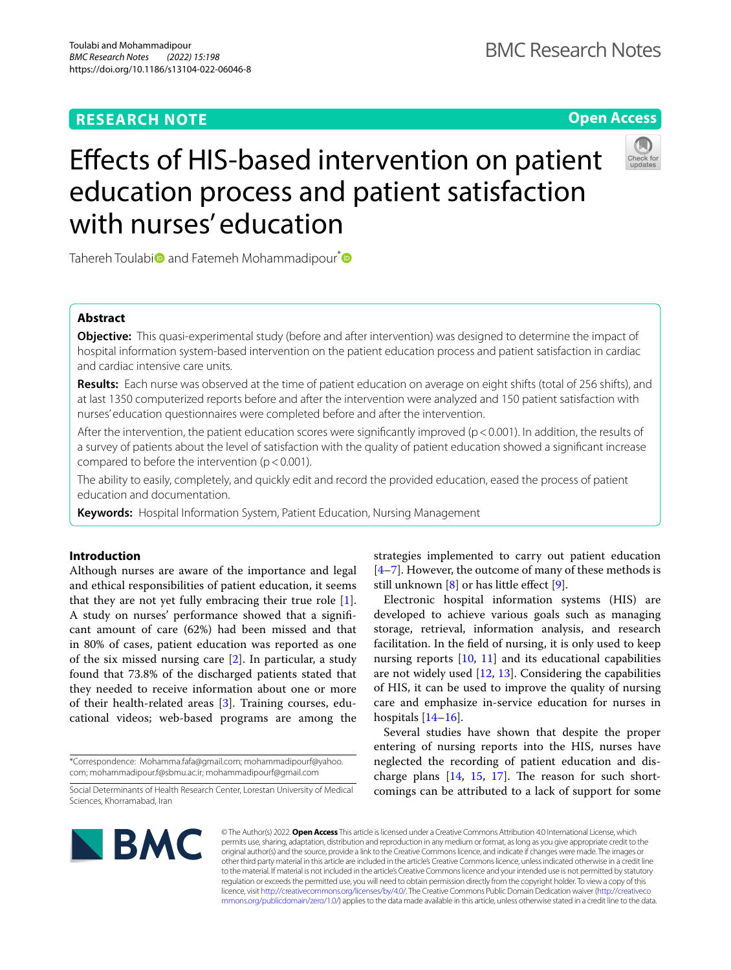## **RESEARCH NOTE**

**Open Access**



# Efects of HIS-based intervention on patient education process and patient satisfaction with nurses' education

Tahereh Toulabi<sup>o</sup> and Fatemeh Mohammadipour<sup>\*</sup><sup>O</sup>

## **Abstract**

**Objective:** This quasi-experimental study (before and after intervention) was designed to determine the impact of hospital information system-based intervention on the patient education process and patient satisfaction in cardiac and cardiac intensive care units.

**Results:** Each nurse was observed at the time of patient education on average on eight shifts (total of 256 shifts), and at last 1350 computerized reports before and after the intervention were analyzed and 150 patient satisfaction with nurses' education questionnaires were completed before and after the intervention.

After the intervention, the patient education scores were significantly improved ( $p < 0.001$ ). In addition, the results of a survey of patients about the level of satisfaction with the quality of patient education showed a signifcant increase compared to before the intervention ( $p < 0.001$ ).

The ability to easily, completely, and quickly edit and record the provided education, eased the process of patient education and documentation.

**Keywords:** Hospital Information System, Patient Education, Nursing Management

## **Introduction**

Although nurses are aware of the importance and legal and ethical responsibilities of patient education, it seems that they are not yet fully embracing their true role [\[1](#page-4-0)]. A study on nurses' performance showed that a signifcant amount of care (62%) had been missed and that in 80% of cases, patient education was reported as one of the six missed nursing care [\[2](#page-4-1)]. In particular, a study found that 73.8% of the discharged patients stated that they needed to receive information about one or more of their health-related areas [\[3](#page-4-2)]. Training courses, educational videos; web-based programs are among the

\*Correspondence: Mohamma.fafa@gmail.com; mohammadipourf@yahoo. com; mohammadipour.f@sbmu.ac.ir; mohammadipourf@gmail.com

strategies implemented to carry out patient education  $[4–7]$  $[4–7]$  $[4–7]$ . However, the outcome of many of these methods is still unknown  $[8]$  $[8]$  or has little effect  $[9]$  $[9]$ .

Electronic hospital information systems (HIS) are developed to achieve various goals such as managing storage, retrieval, information analysis, and research facilitation. In the feld of nursing, it is only used to keep nursing reports  $[10, 11]$  $[10, 11]$  $[10, 11]$  and its educational capabilities are not widely used [\[12,](#page-4-9) [13\]](#page-4-10). Considering the capabilities of HIS, it can be used to improve the quality of nursing care and emphasize in-service education for nurses in hospitals  $[14–16]$  $[14–16]$  $[14–16]$  $[14–16]$ .

Several studies have shown that despite the proper entering of nursing reports into the HIS, nurses have neglected the recording of patient education and discharge plans  $[14, 15, 17]$  $[14, 15, 17]$  $[14, 15, 17]$  $[14, 15, 17]$  $[14, 15, 17]$  $[14, 15, 17]$ . The reason for such shortcomings can be attributed to a lack of support for some



© The Author(s) 2022. **Open Access** This article is licensed under a Creative Commons Attribution 4.0 International License, which permits use, sharing, adaptation, distribution and reproduction in any medium or format, as long as you give appropriate credit to the original author(s) and the source, provide a link to the Creative Commons licence, and indicate if changes were made. The images or other third party material in this article are included in the article's Creative Commons licence, unless indicated otherwise in a credit line to the material. If material is not included in the article's Creative Commons licence and your intended use is not permitted by statutory regulation or exceeds the permitted use, you will need to obtain permission directly from the copyright holder. To view a copy of this licence, visit [http://creativecommons.org/licenses/by/4.0/.](http://creativecommons.org/licenses/by/4.0/) The Creative Commons Public Domain Dedication waiver ([http://creativeco](http://creativecommons.org/publicdomain/zero/1.0/) [mmons.org/publicdomain/zero/1.0/](http://creativecommons.org/publicdomain/zero/1.0/)) applies to the data made available in this article, unless otherwise stated in a credit line to the data.

Social Determinants of Health Research Center, Lorestan University of Medical Sciences, Khorramabad, Iran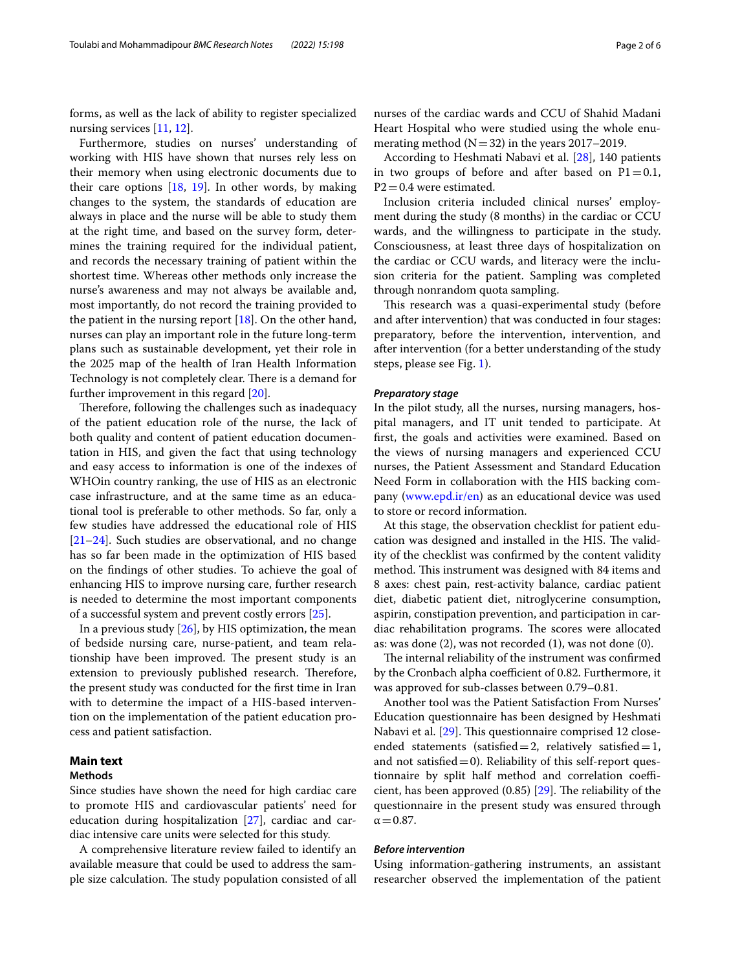forms, as well as the lack of ability to register specialized nursing services [[11,](#page-4-8) [12](#page-4-9)].

Furthermore, studies on nurses' understanding of working with HIS have shown that nurses rely less on their memory when using electronic documents due to their care options  $[18, 19]$  $[18, 19]$  $[18, 19]$  $[18, 19]$ . In other words, by making changes to the system, the standards of education are always in place and the nurse will be able to study them at the right time, and based on the survey form, determines the training required for the individual patient, and records the necessary training of patient within the shortest time. Whereas other methods only increase the nurse's awareness and may not always be available and, most importantly, do not record the training provided to the patient in the nursing report [\[18](#page-4-15)]. On the other hand, nurses can play an important role in the future long-term plans such as sustainable development, yet their role in the 2025 map of the health of Iran Health Information Technology is not completely clear. There is a demand for further improvement in this regard [\[20](#page-4-17)].

Therefore, following the challenges such as inadequacy of the patient education role of the nurse, the lack of both quality and content of patient education documentation in HIS, and given the fact that using technology and easy access to information is one of the indexes of WHOin country ranking, the use of HIS as an electronic case infrastructure, and at the same time as an educational tool is preferable to other methods. So far, only a few studies have addressed the educational role of HIS [[21–](#page-4-18)[24](#page-4-19)]. Such studies are observational, and no change has so far been made in the optimization of HIS based on the fndings of other studies. To achieve the goal of enhancing HIS to improve nursing care, further research is needed to determine the most important components of a successful system and prevent costly errors [[25](#page-4-20)].

In a previous study  $[26]$  $[26]$  $[26]$ , by HIS optimization, the mean of bedside nursing care, nurse-patient, and team relationship have been improved. The present study is an extension to previously published research. Therefore, the present study was conducted for the frst time in Iran with to determine the impact of a HIS-based intervention on the implementation of the patient education process and patient satisfaction.

## **Main text**

## **Methods**

Since studies have shown the need for high cardiac care to promote HIS and cardiovascular patients' need for education during hospitalization [\[27](#page-4-22)], cardiac and cardiac intensive care units were selected for this study.

A comprehensive literature review failed to identify an available measure that could be used to address the sample size calculation. The study population consisted of all nurses of the cardiac wards and CCU of Shahid Madani Heart Hospital who were studied using the whole enumerating method  $(N=32)$  in the years 2017–2019.

According to Heshmati Nabavi et al. [\[28\]](#page-4-23), 140 patients in two groups of before and after based on  $P1=0.1$ ,  $P2 = 0.4$  were estimated.

Inclusion criteria included clinical nurses' employment during the study (8 months) in the cardiac or CCU wards, and the willingness to participate in the study. Consciousness, at least three days of hospitalization on the cardiac or CCU wards, and literacy were the inclusion criteria for the patient. Sampling was completed through nonrandom quota sampling.

This research was a quasi-experimental study (before and after intervention) that was conducted in four stages: preparatory, before the intervention, intervention, and after intervention (for a better understanding of the study steps, please see Fig. [1\)](#page-2-0).

#### *Preparatory stage*

In the pilot study, all the nurses, nursing managers, hospital managers, and IT unit tended to participate. At frst, the goals and activities were examined. Based on the views of nursing managers and experienced CCU nurses, the Patient Assessment and Standard Education Need Form in collaboration with the HIS backing company ([www.epd.ir/en\)](http://www.epd.ir/en) as an educational device was used to store or record information.

At this stage, the observation checklist for patient education was designed and installed in the HIS. The validity of the checklist was confrmed by the content validity method. This instrument was designed with 84 items and 8 axes: chest pain, rest-activity balance, cardiac patient diet, diabetic patient diet, nitroglycerine consumption, aspirin, constipation prevention, and participation in cardiac rehabilitation programs. The scores were allocated as: was done (2), was not recorded (1), was not done (0).

The internal reliability of the instrument was confirmed by the Cronbach alpha coefficient of 0.82. Furthermore, it was approved for sub-classes between 0.79–0.81.

Another tool was the Patient Satisfaction From Nurses' Education questionnaire has been designed by Heshmati Nabavi et al. [[29\]](#page-5-0). This questionnaire comprised 12 closeended statements (satisfied = 2, relatively satisfied = 1, and not satisfied=0). Reliability of this self-report questionnaire by split half method and correlation coefficient, has been approved  $(0.85)$  [\[29](#page-5-0)]. The reliability of the questionnaire in the present study was ensured through  $\alpha$  = 0.87.

#### *Before intervention*

Using information-gathering instruments, an assistant researcher observed the implementation of the patient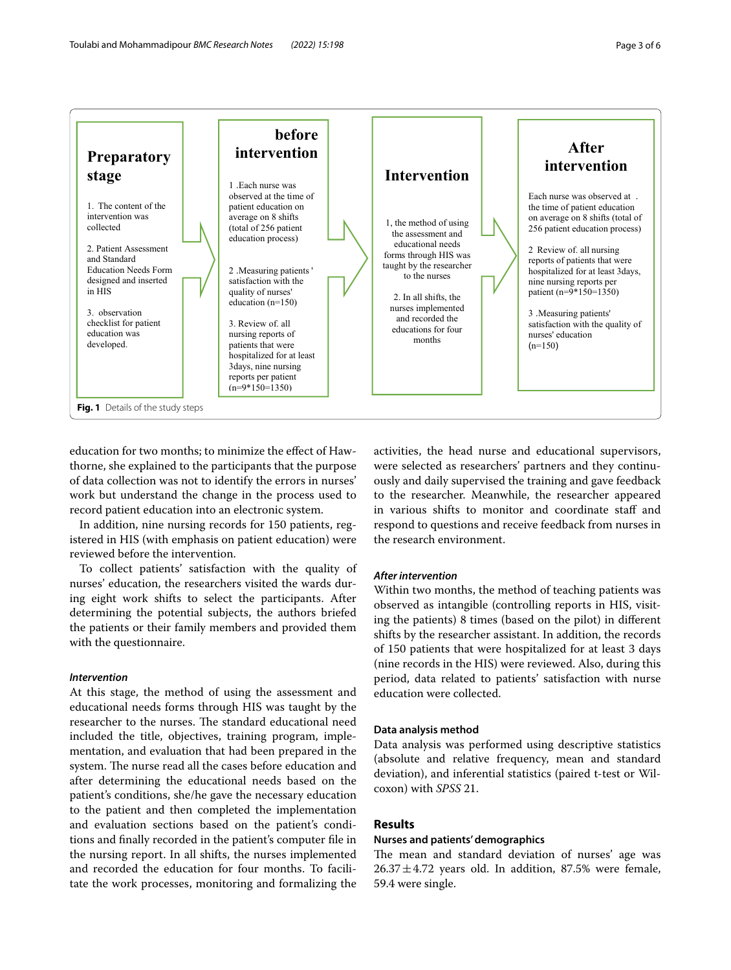

<span id="page-2-0"></span>education for two months; to minimize the efect of Hawthorne, she explained to the participants that the purpose of data collection was not to identify the errors in nurses' work but understand the change in the process used to record patient education into an electronic system.

In addition, nine nursing records for 150 patients, registered in HIS (with emphasis on patient education) were reviewed before the intervention.

To collect patients' satisfaction with the quality of nurses' education, the researchers visited the wards during eight work shifts to select the participants. After determining the potential subjects, the authors briefed the patients or their family members and provided them with the questionnaire.

#### *Intervention*

At this stage, the method of using the assessment and educational needs forms through HIS was taught by the researcher to the nurses. The standard educational need included the title, objectives, training program, implementation, and evaluation that had been prepared in the system. The nurse read all the cases before education and after determining the educational needs based on the patient's conditions, she/he gave the necessary education to the patient and then completed the implementation and evaluation sections based on the patient's conditions and fnally recorded in the patient's computer fle in the nursing report. In all shifts, the nurses implemented and recorded the education for four months. To facilitate the work processes, monitoring and formalizing the

activities, the head nurse and educational supervisors, were selected as researchers' partners and they continuously and daily supervised the training and gave feedback to the researcher. Meanwhile, the researcher appeared in various shifts to monitor and coordinate staff and respond to questions and receive feedback from nurses in the research environment.

#### *After intervention*

Within two months, the method of teaching patients was observed as intangible (controlling reports in HIS, visiting the patients) 8 times (based on the pilot) in diferent shifts by the researcher assistant. In addition, the records of 150 patients that were hospitalized for at least 3 days (nine records in the HIS) were reviewed. Also, during this period, data related to patients' satisfaction with nurse education were collected.

#### **Data analysis method**

Data analysis was performed using descriptive statistics (absolute and relative frequency, mean and standard deviation), and inferential statistics (paired t-test or Wilcoxon) with *SPSS* 21.

## **Results**

#### **Nurses and patients' demographics**

The mean and standard deviation of nurses' age was  $26.37 \pm 4.72$  years old. In addition, 87.5% were female, 59.4 were single.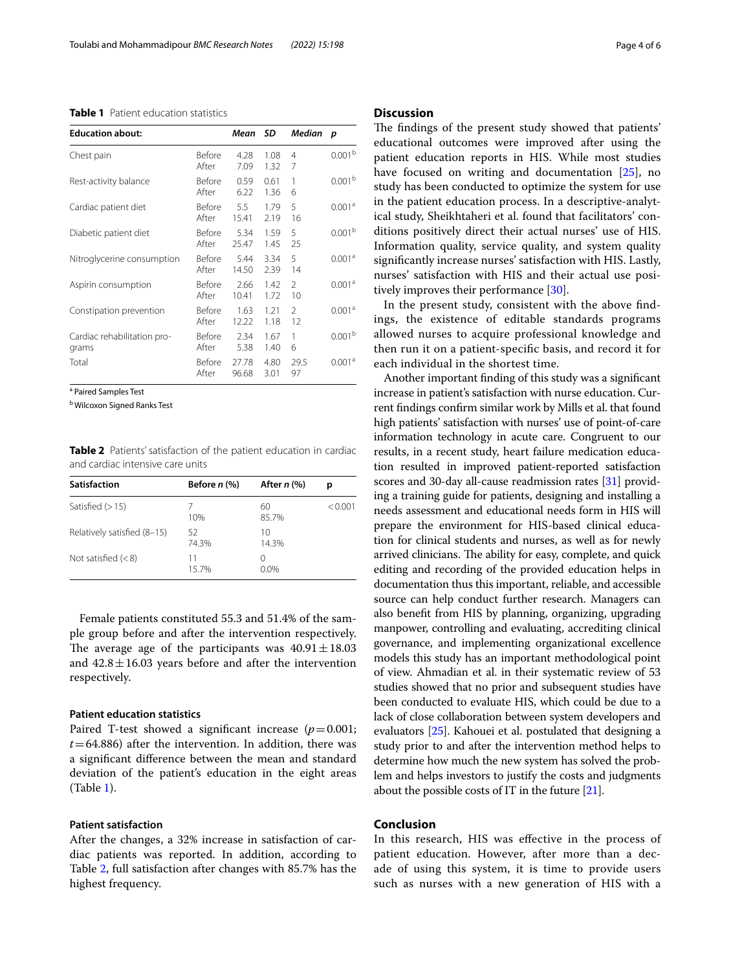## <span id="page-3-0"></span>**Table 1** Patient education statistics

| <b>Education about:</b>              |                        | Mean           | - SD         | Median              | p                  |
|--------------------------------------|------------------------|----------------|--------------|---------------------|--------------------|
| Chest pain                           | Before<br>After        | 4.28<br>7.09   | 1.08<br>1.32 | $\overline{4}$<br>7 | 0.001 <sup>b</sup> |
| Rest-activity balance                | <b>Before</b><br>After | 0.59<br>6.22   | 0.61<br>1.36 | 1<br>6              | 0.001 <sup>b</sup> |
| Cardiac patient diet                 | Before<br>After        | 5.5<br>15.41   | 1.79<br>2.19 | 5<br>16             | 0.001 <sup>a</sup> |
| Diabetic patient diet                | Before<br>After        | 5.34<br>25.47  | 1.59<br>1.45 | 5<br>25             | 0.001 <sup>b</sup> |
| Nitroglycerine consumption           | <b>Before</b><br>After | 5.44<br>14.50  | 3.34<br>2.39 | 5<br>14             | 0.001 <sup>a</sup> |
| Aspirin consumption                  | Before<br>After        | 2.66<br>10.41  | 1.42<br>1.72 | $\mathcal{P}$<br>10 | 0.001 <sup>a</sup> |
| Constipation prevention              | Before<br>After        | 1.63<br>12.22  | 1.21<br>1.18 | $\mathcal{P}$<br>12 | 0.001 <sup>a</sup> |
| Cardiac rehabilitation pro-<br>grams | Before<br>After        | 2.34<br>5.38   | 1.67<br>1.40 | 1<br>6              | 0.001 <sup>b</sup> |
| Total                                | <b>Before</b><br>After | 27.78<br>96.68 | 4.80<br>3.01 | 29.5<br>97          | 0.001 <sup>a</sup> |

<sup>a</sup> Paired Samples Test

<sup>b</sup> Wilcoxon Signed Ranks Test

<span id="page-3-1"></span>**Table 2** Patients' satisfaction of the patient education in cardiac and cardiac intensive care units

| <b>Satisfaction</b>         | Before $n$ $%$ | After $n$ (%)       | D       |
|-----------------------------|----------------|---------------------|---------|
| Satisfied $(>15)$           | 10%            | 60<br>85.7%         | < 0.001 |
| Relatively satisfied (8-15) | 52<br>74.3%    | 10<br>14.3%         |         |
| Not satisfied $(< 8)$       | 11<br>157%     | $\left($<br>$0.0\%$ |         |

Female patients constituted 55.3 and 51.4% of the sample group before and after the intervention respectively. The average age of the participants was  $40.91 \pm 18.03$ and  $42.8 \pm 16.03$  years before and after the intervention respectively.

## **Patient education statistics**

Paired T-test showed a significant increase  $(p=0.001;$  $t$ =64.886) after the intervention. In addition, there was a signifcant diference between the mean and standard deviation of the patient's education in the eight areas (Table [1](#page-3-0)).

## **Patient satisfaction**

After the changes, a 32% increase in satisfaction of cardiac patients was reported. In addition, according to Table [2](#page-3-1), full satisfaction after changes with 85.7% has the highest frequency.

## **Discussion**

The findings of the present study showed that patients' educational outcomes were improved after using the patient education reports in HIS. While most studies have focused on writing and documentation [[25](#page-4-20)], no study has been conducted to optimize the system for use in the patient education process. In a descriptive-analytical study, Sheikhtaheri et al. found that facilitators' conditions positively direct their actual nurses' use of HIS. Information quality, service quality, and system quality signifcantly increase nurses' satisfaction with HIS. Lastly, nurses' satisfaction with HIS and their actual use positively improves their performance [[30\]](#page-5-1).

In the present study, consistent with the above fndings, the existence of editable standards programs allowed nurses to acquire professional knowledge and then run it on a patient-specifc basis, and record it for each individual in the shortest time.

Another important fnding of this study was a signifcant increase in patient's satisfaction with nurse education. Current fndings confrm similar work by Mills et al. that found high patients' satisfaction with nurses' use of point-of-care information technology in acute care. Congruent to our results, in a recent study, heart failure medication education resulted in improved patient-reported satisfaction scores and 30-day all-cause readmission rates [\[31](#page-5-2)] providing a training guide for patients, designing and installing a needs assessment and educational needs form in HIS will prepare the environment for HIS-based clinical education for clinical students and nurses, as well as for newly arrived clinicians. The ability for easy, complete, and quick editing and recording of the provided education helps in documentation thus this important, reliable, and accessible source can help conduct further research. Managers can also beneft from HIS by planning, organizing, upgrading manpower, controlling and evaluating, accrediting clinical governance, and implementing organizational excellence models this study has an important methodological point of view. Ahmadian et al. in their systematic review of 53 studies showed that no prior and subsequent studies have been conducted to evaluate HIS, which could be due to a lack of close collaboration between system developers and evaluators [[25](#page-4-20)]. Kahouei et al. postulated that designing a study prior to and after the intervention method helps to determine how much the new system has solved the problem and helps investors to justify the costs and judgments about the possible costs of IT in the future  $[21]$  $[21]$  $[21]$ .

## **Conclusion**

In this research, HIS was efective in the process of patient education. However, after more than a decade of using this system, it is time to provide users such as nurses with a new generation of HIS with a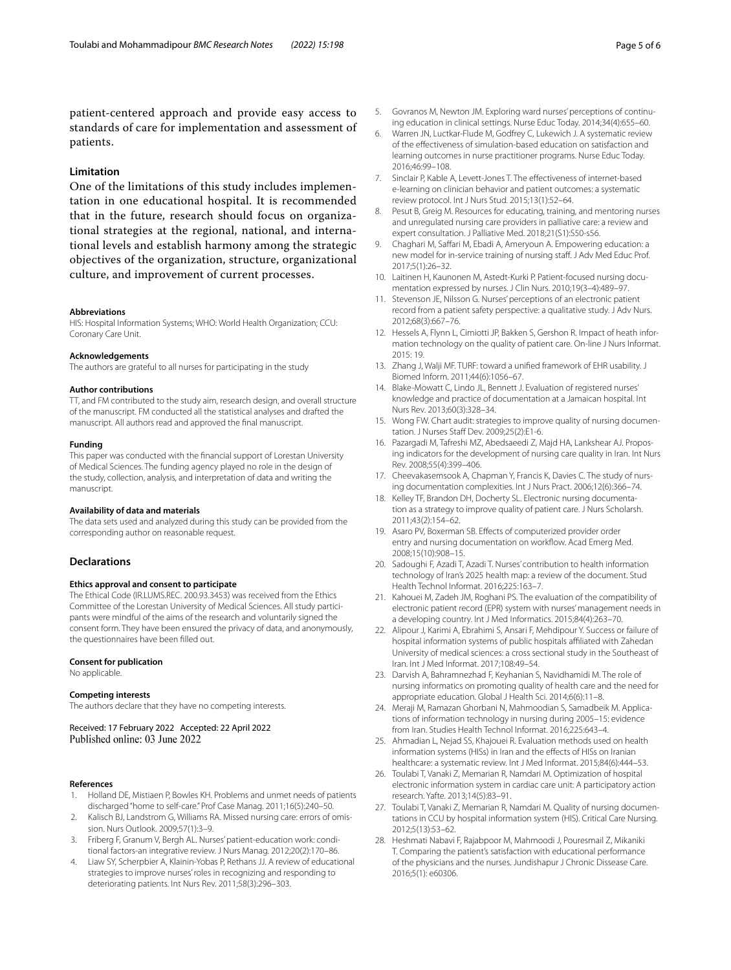patient-centered approach and provide easy access to standards of care for implementation and assessment of patients.

## **Limitation**

One of the limitations of this study includes implementation in one educational hospital. It is recommended that in the future, research should focus on organizational strategies at the regional, national, and international levels and establish harmony among the strategic objectives of the organization, structure, organizational culture, and improvement of current processes.

#### **Abbreviations**

HIS: Hospital Information Systems; WHO: World Health Organization; CCU: Coronary Care Unit.

#### **Acknowledgements**

The authors are grateful to all nurses for participating in the study

#### **Author contributions**

TT, and FM contributed to the study aim, research design, and overall structure of the manuscript. FM conducted all the statistical analyses and drafted the manuscript. All authors read and approved the fnal manuscript.

#### **Funding**

This paper was conducted with the fnancial support of Lorestan University of Medical Sciences. The funding agency played no role in the design of the study, collection, analysis, and interpretation of data and writing the manuscript.

#### **Availability of data and materials**

The data sets used and analyzed during this study can be provided from the corresponding author on reasonable request.

#### **Declarations**

#### **Ethics approval and consent to participate**

The Ethical Code (IR.LUMS.REC. 200.93.3453) was received from the Ethics Committee of the Lorestan University of Medical Sciences. All study participants were mindful of the aims of the research and voluntarily signed the consent form. They have been ensured the privacy of data, and anonymously, the questionnaires have been flled out.

#### **Consent for publication**

No applicable.

#### **Competing interests**

The authors declare that they have no competing interests.

Received: 17 February 2022 Accepted: 22 April 2022 Published online: 03 June 2022

#### **References**

- <span id="page-4-0"></span>1. Holland DE, Mistiaen P, Bowles KH. Problems and unmet needs of patients discharged "home to self-care." Prof Case Manag. 2011;16(5):240–50.
- <span id="page-4-1"></span>2. Kalisch BJ, Landstrom G, Williams RA. Missed nursing care: errors of omission. Nurs Outlook. 2009;57(1):3–9.
- <span id="page-4-2"></span>3. Friberg F, Granum V, Bergh AL. Nurses' patient-education work: conditional factors-an integrative review. J Nurs Manag. 2012;20(2):170–86.
- <span id="page-4-3"></span>4. Liaw SY, Scherpbier A, Klainin-Yobas P, Rethans JJ. A review of educational strategies to improve nurses' roles in recognizing and responding to deteriorating patients. Int Nurs Rev. 2011;58(3):296–303.
- 5. Govranos M, Newton JM. Exploring ward nurses' perceptions of continuing education in clinical settings. Nurse Educ Today. 2014;34(4):655–60.
- 6. Warren JN, Luctkar-Flude M, Godfrey C, Lukewich J. A systematic review of the efectiveness of simulation-based education on satisfaction and learning outcomes in nurse practitioner programs. Nurse Educ Today. 2016;46:99–108.
- <span id="page-4-4"></span>7. Sinclair P, Kable A, Levett-Jones T. The efectiveness of internet-based e-learning on clinician behavior and patient outcomes: a systematic review protocol. Int J Nurs Stud. 2015;13(1):52–64.
- <span id="page-4-5"></span>8. Pesut B, Greig M. Resources for educating, training, and mentoring nurses and unregulated nursing care providers in palliative care: a review and expert consultation. J Palliative Med. 2018;21(S1):S50-s56.
- <span id="page-4-6"></span>9. Chaghari M, Saffari M, Ebadi A, Ameryoun A. Empowering education: a new model for in-service training of nursing staf. J Adv Med Educ Prof. 2017;5(1):26–32.
- <span id="page-4-7"></span>10. Laitinen H, Kaunonen M, Astedt-Kurki P. Patient-focused nursing documentation expressed by nurses. J Clin Nurs. 2010;19(3–4):489–97.
- <span id="page-4-8"></span>11. Stevenson JE, Nilsson G. Nurses' perceptions of an electronic patient record from a patient safety perspective: a qualitative study. J Adv Nurs. 2012;68(3):667–76.
- <span id="page-4-9"></span>12. Hessels A, Flynn L, Cimiotti JP, Bakken S, Gershon R. Impact of heath information technology on the quality of patient care. On-line J Nurs Informat. 2015: 19.
- <span id="page-4-10"></span>13. Zhang J, Walji MF. TURF: toward a unifed framework of EHR usability. J Biomed Inform. 2011;44(6):1056–67.
- <span id="page-4-11"></span>14. Blake-Mowatt C, Lindo JL, Bennett J. Evaluation of registered nurses' knowledge and practice of documentation at a Jamaican hospital. Int Nurs Rev. 2013;60(3):328–34.
- <span id="page-4-13"></span>15. Wong FW. Chart audit: strategies to improve quality of nursing documentation. J Nurses Staff Dev. 2009;25(2):E1-6.
- <span id="page-4-12"></span>16. Pazargadi M, Tafreshi MZ, Abedsaeedi Z, Majd HA, Lankshear AJ. Proposing indicators for the development of nursing care quality in Iran. Int Nurs Rev. 2008;55(4):399–406.
- <span id="page-4-14"></span>17. Cheevakasemsook A, Chapman Y, Francis K, Davies C. The study of nursing documentation complexities. Int J Nurs Pract. 2006;12(6):366–74.
- <span id="page-4-15"></span>18. Kelley TF, Brandon DH, Docherty SL. Electronic nursing documentation as a strategy to improve quality of patient care. J Nurs Scholarsh. 2011;43(2):154–62.
- <span id="page-4-16"></span>19. Asaro PV, Boxerman SB. Efects of computerized provider order entry and nursing documentation on workflow. Acad Emerg Med. 2008;15(10):908–15.
- <span id="page-4-17"></span>20. Sadoughi F, Azadi T, Azadi T. Nurses' contribution to health information technology of Iran's 2025 health map: a review of the document. Stud Health Technol Informat. 2016;225:163–7.
- <span id="page-4-18"></span>21. Kahouei M, Zadeh JM, Roghani PS. The evaluation of the compatibility of electronic patient record (EPR) system with nurses' management needs in a developing country. Int J Med Informatics. 2015;84(4):263–70.
- 22. Alipour J, Karimi A, Ebrahimi S, Ansari F, Mehdipour Y. Success or failure of hospital information systems of public hospitals afliated with Zahedan University of medical sciences: a cross sectional study in the Southeast of Iran. Int J Med Informat. 2017;108:49–54.
- 23. Darvish A, Bahramnezhad F, Keyhanian S, Navidhamidi M. The role of nursing informatics on promoting quality of health care and the need for appropriate education. Global J Health Sci. 2014;6(6):11–8.
- <span id="page-4-19"></span>24. Meraji M, Ramazan Ghorbani N, Mahmoodian S, Samadbeik M. Applications of information technology in nursing during 2005–15: evidence from Iran. Studies Health Technol Informat. 2016;225:643–4.
- <span id="page-4-20"></span>25. Ahmadian L, Nejad SS, Khajouei R. Evaluation methods used on health information systems (HISs) in Iran and the effects of HISs on Iranian healthcare: a systematic review. Int J Med Informat. 2015;84(6):444–53.
- <span id="page-4-21"></span>26. Toulabi T, Vanaki Z, Memarian R, Namdari M. Optimization of hospital electronic information system in cardiac care unit: A participatory action research. Yafte. 2013;14(5):83–91.
- <span id="page-4-22"></span>27. Toulabi T, Vanaki Z, Memarian R, Namdari M. Quality of nursing documentations in CCU by hospital information system (HIS). Critical Care Nursing. 2012;5(13):53–62.
- <span id="page-4-23"></span>28. Heshmati Nabavi F, Rajabpoor M, Mahmoodi J, Pouresmail Z, Mikaniki T. Comparing the patient's satisfaction with educational performance of the physicians and the nurses. Jundishapur J Chronic Dissease Care. 2016;5(1): e60306.